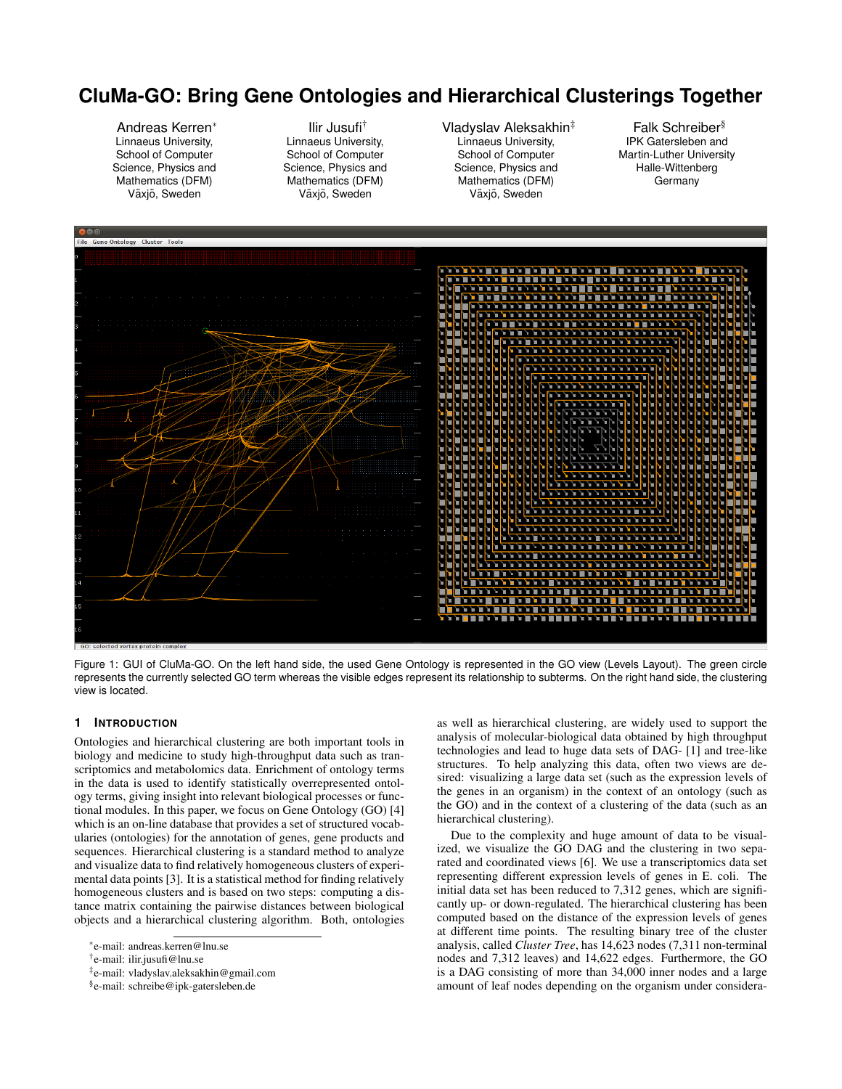## **CluMa-GO: Bring Gene Ontologies and Hierarchical Clusterings Together**

Andreas Kerren<sup>∗</sup> Linnaeus University, School of Computer Science, Physics and Mathematics (DFM) Växjö, Sweden

Ilir Jusufi† Linnaeus University, School of Computer Science, Physics and Mathematics (DFM) Växjö, Sweden

Vladyslav Aleksakhin‡ Linnaeus University, School of Computer Science, Physics and Mathematics (DFM) Växjö, Sweden

Falk Schreiber§ IPK Gatersleben and Martin-Luther University Halle-Wittenberg **Germany** 



Figure 1: GUI of CluMa-GO. On the left hand side, the used Gene Ontology is represented in the GO view (Levels Layout). The green circle represents the currently selected GO term whereas the visible edges represent its relationship to subterms. On the right hand side, the clustering view is located.

## **1 INTRODUCTION**

Ontologies and hierarchical clustering are both important tools in biology and medicine to study high-throughput data such as transcriptomics and metabolomics data. Enrichment of ontology terms in the data is used to identify statistically overrepresented ontology terms, giving insight into relevant biological processes or functional modules. In this paper, we focus on Gene Ontology (GO) [4] which is an on-line database that provides a set of structured vocabularies (ontologies) for the annotation of genes, gene products and sequences. Hierarchical clustering is a standard method to analyze and visualize data to find relatively homogeneous clusters of experimental data points [3]. It is a statistical method for finding relatively homogeneous clusters and is based on two steps: computing a distance matrix containing the pairwise distances between biological objects and a hierarchical clustering algorithm. Both, ontologies

as well as hierarchical clustering, are widely used to support the analysis of molecular-biological data obtained by high throughput technologies and lead to huge data sets of DAG- [1] and tree-like structures. To help analyzing this data, often two views are desired: visualizing a large data set (such as the expression levels of the genes in an organism) in the context of an ontology (such as the GO) and in the context of a clustering of the data (such as an hierarchical clustering).

Due to the complexity and huge amount of data to be visualized, we visualize the GO DAG and the clustering in two separated and coordinated views [6]. We use a transcriptomics data set representing different expression levels of genes in E. coli. The initial data set has been reduced to 7,312 genes, which are significantly up- or down-regulated. The hierarchical clustering has been computed based on the distance of the expression levels of genes at different time points. The resulting binary tree of the cluster analysis, called *Cluster Tree*, has 14,623 nodes (7,311 non-terminal nodes and 7,312 leaves) and 14,622 edges. Furthermore, the GO is a DAG consisting of more than 34,000 inner nodes and a large amount of leaf nodes depending on the organism under considera-

<sup>∗</sup> e-mail: andreas.kerren@lnu.se

<sup>†</sup> e-mail: ilir.jusufi@lnu.se

<sup>‡</sup> e-mail: vladyslav.aleksakhin@gmail.com

<sup>§</sup> e-mail: schreibe@ipk-gatersleben.de